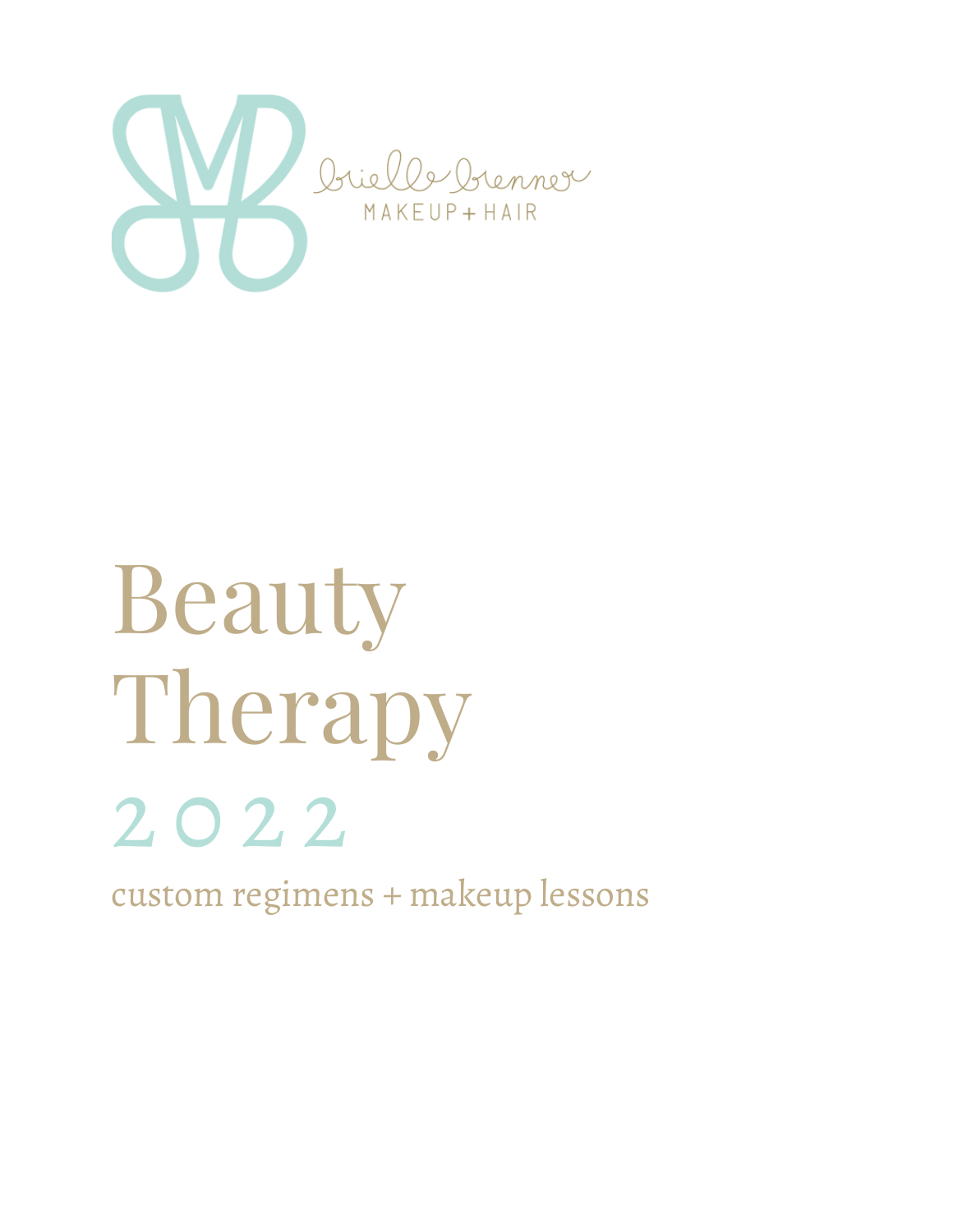

# Beauty Therapy 2 0 2 2

custom regimens + makeup lessons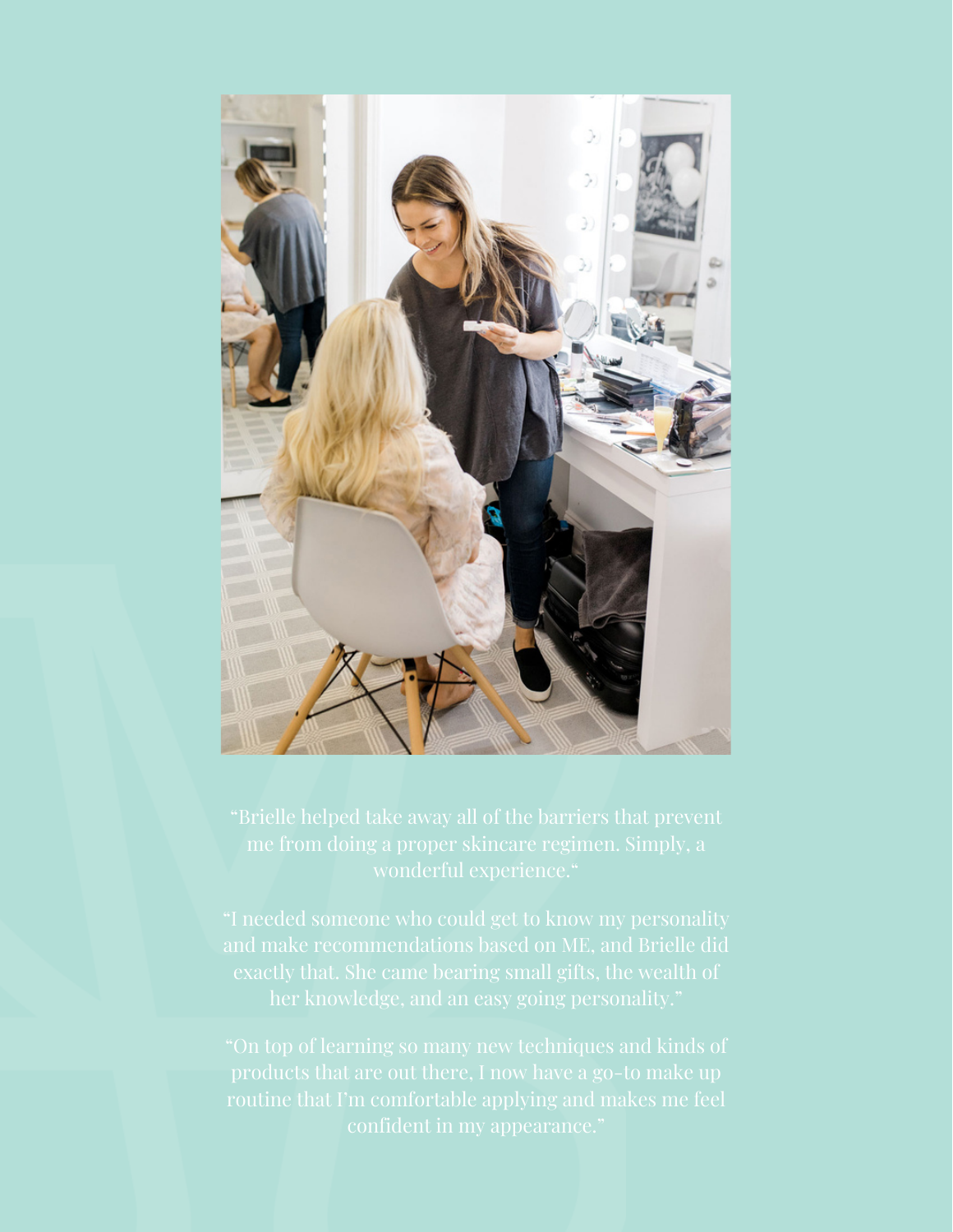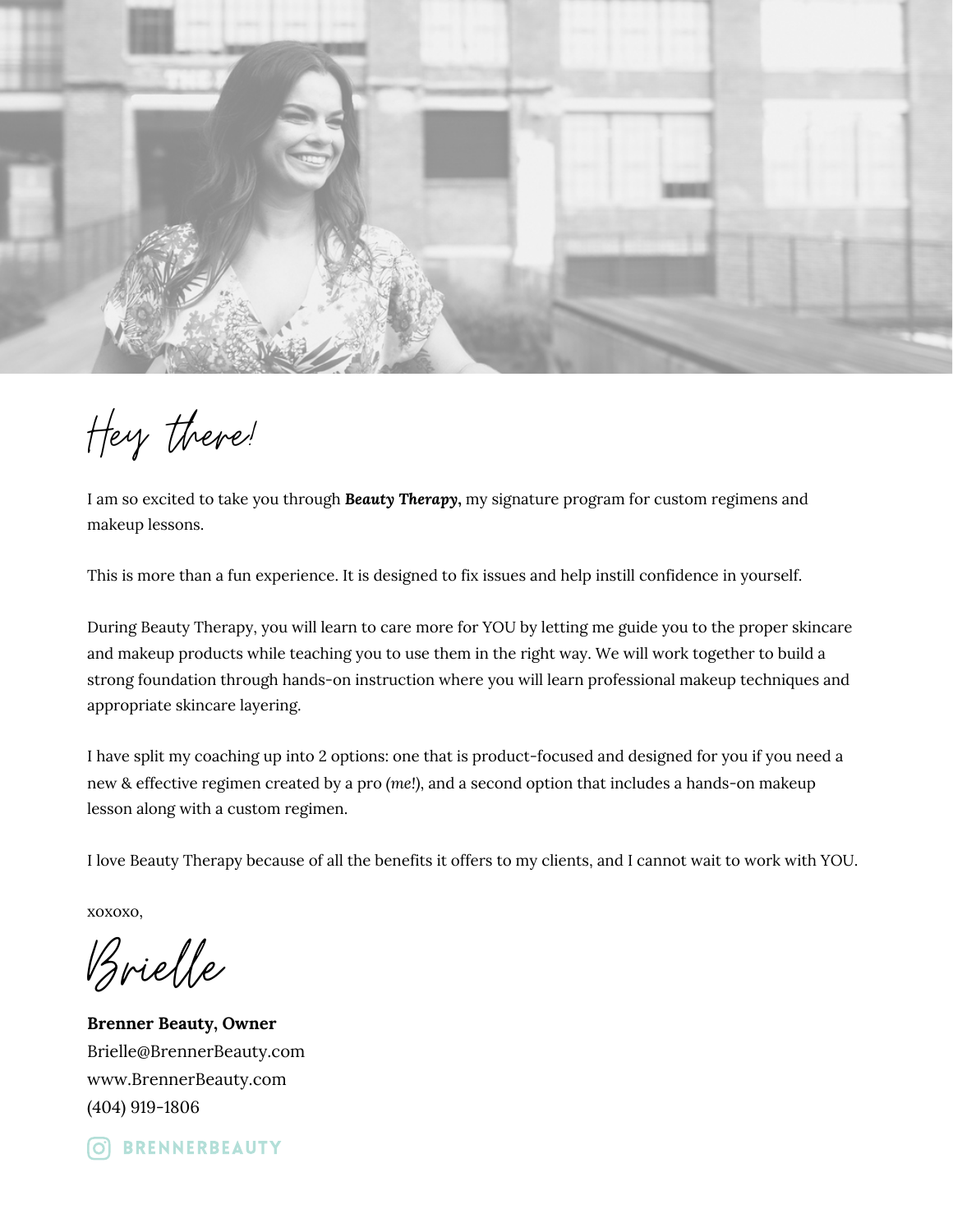

Hey there!

I am so excited to take you through *Beauty Therapy***,** my signature program for custom regimens and makeup lessons.

This is more than a fun experience. It is designed to fix issues and help instill confidence in yourself.

During Beauty Therapy, you will learn to care more for YOU by letting me guide you to the proper skincare and makeup products while teaching you to use them in the right way. We will work together to build a strong foundation through hands-on instruction where you will learn professional makeup techniques and appropriate skincare layering.

I have split my coaching up into 2 options: one that is product-focused and designed for you if you need a new & effective regimen created by a pro *(me!)*, and a second option that includes a hands-on makeup lesson along with a custom regimen.

I love Beauty Therapy because of all the benefits it offers to my clients, and I cannot wait to work with YOU.

xoxoxo,

Brielle

**Brenner Beauty, Owner** Brielle@BrennerBeauty.com www.BrennerBeauty.com (404) 919-1806

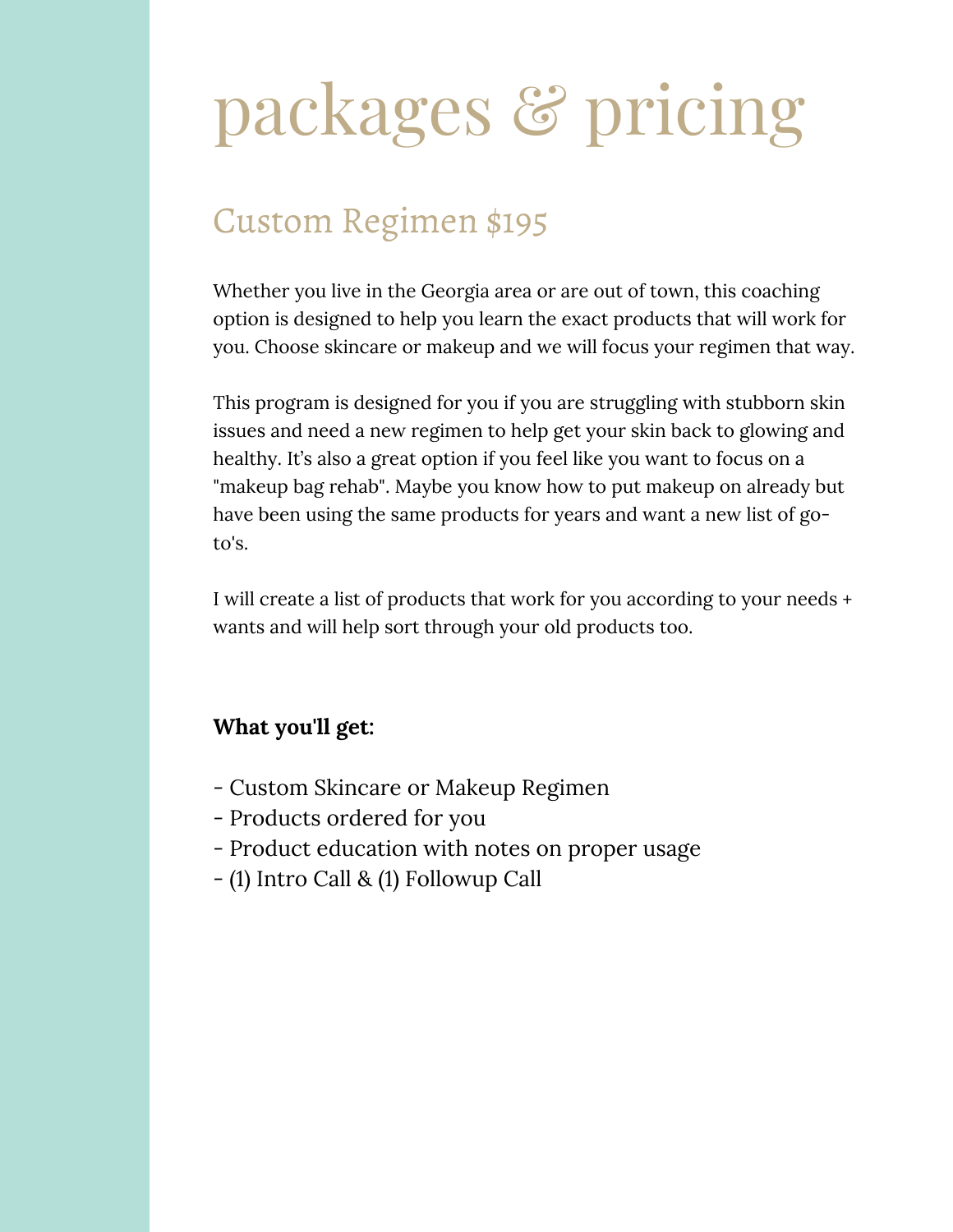# packages & pricing

### Custom Regimen \$195

Whether you live in the Georgia area or are out of town, this coaching option is designed to help you learn the exact products that will work for you. Choose skincare or makeup and we will focus your regimen that way.

This program is designed for you if you are struggling with stubborn skin issues and need a new regimen to help get your skin back to glowing and healthy. It's also a great option if you feel like you want to focus on a "makeup bag rehab". Maybe you know how to put makeup on already but have been using the same products for years and want a new list of goto's.

I will create a list of products that work for you according to your needs + wants and will help sort through your old products too.

#### **What you'll get:**

- Custom Skincare or Makeup Regimen
- Products ordered for you
- Product education with notes on proper usage
- (1) Intro Call & (1) Followup Call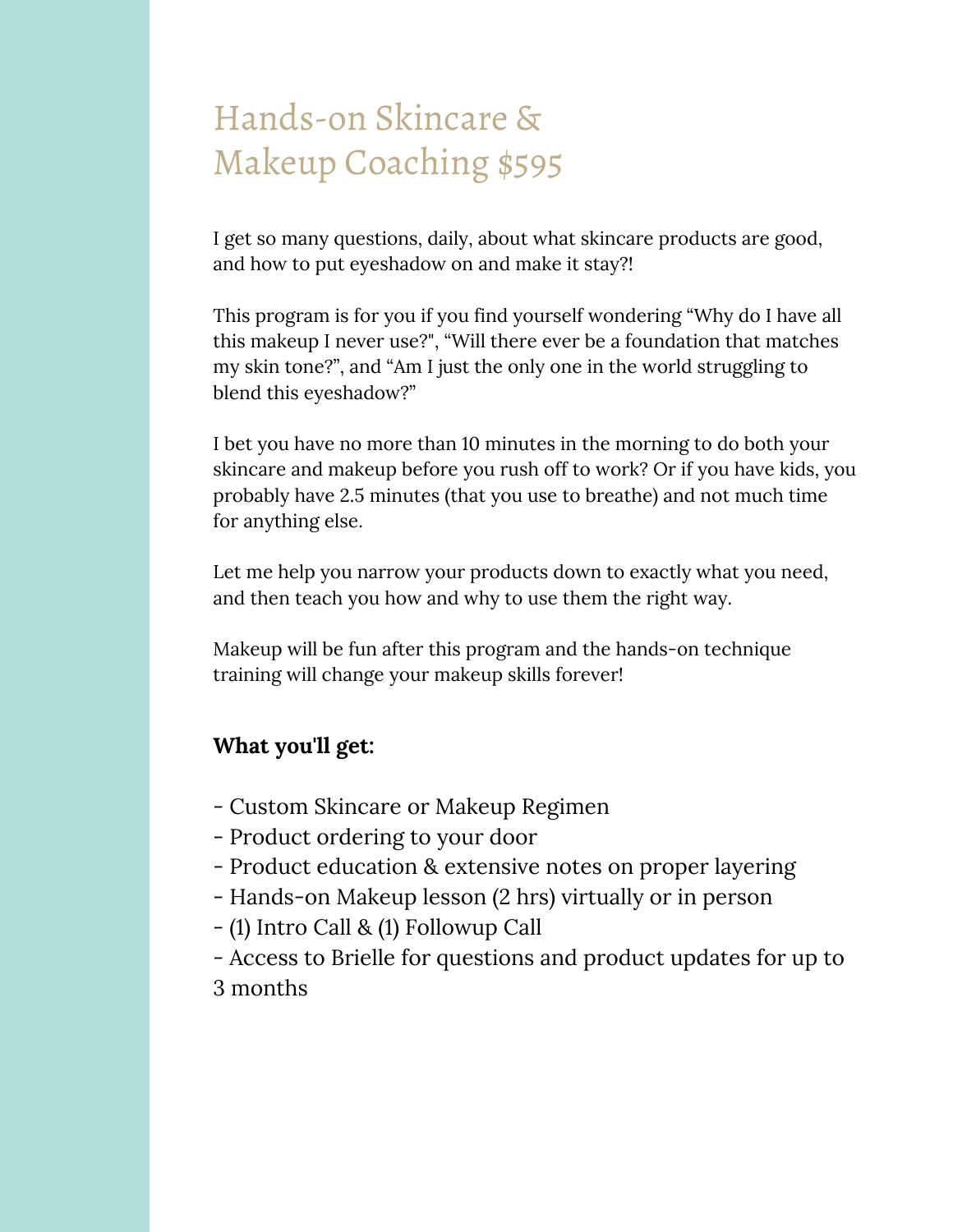### Hands-on Skincare & Makeup Coaching \$595

I get so many questions, daily, about what skincare products are good, and how to put eyeshadow on and make it stay?!

This program is for you if you find yourself wondering "Why do I have all this makeup I never use?", "Will there ever be a foundation that matches my skin tone?", and "Am I just the only one in the world struggling to blend this eyeshadow?"

I bet you have no more than 10 minutes in the morning to do both your skincare and makeup before you rush off to work? Or if you have kids, you probably have 2.5 minutes (that you use to breathe) and not much time for anything else.

Let me help you narrow your products down to exactly what you need, and then teach you how and why to use them the right way.

Makeup will be fun after this program and the hands-on technique training will change your makeup skills forever!

#### **What you'll get:**

- Custom Skincare or Makeup Regimen
- Product ordering to your door
- Product education & extensive notes on proper layering
- Hands-on Makeup lesson (2 hrs) virtually or in person
- (1) Intro Call & (1) Followup Call
- Access to Brielle for questions and product updates for up to 3 months